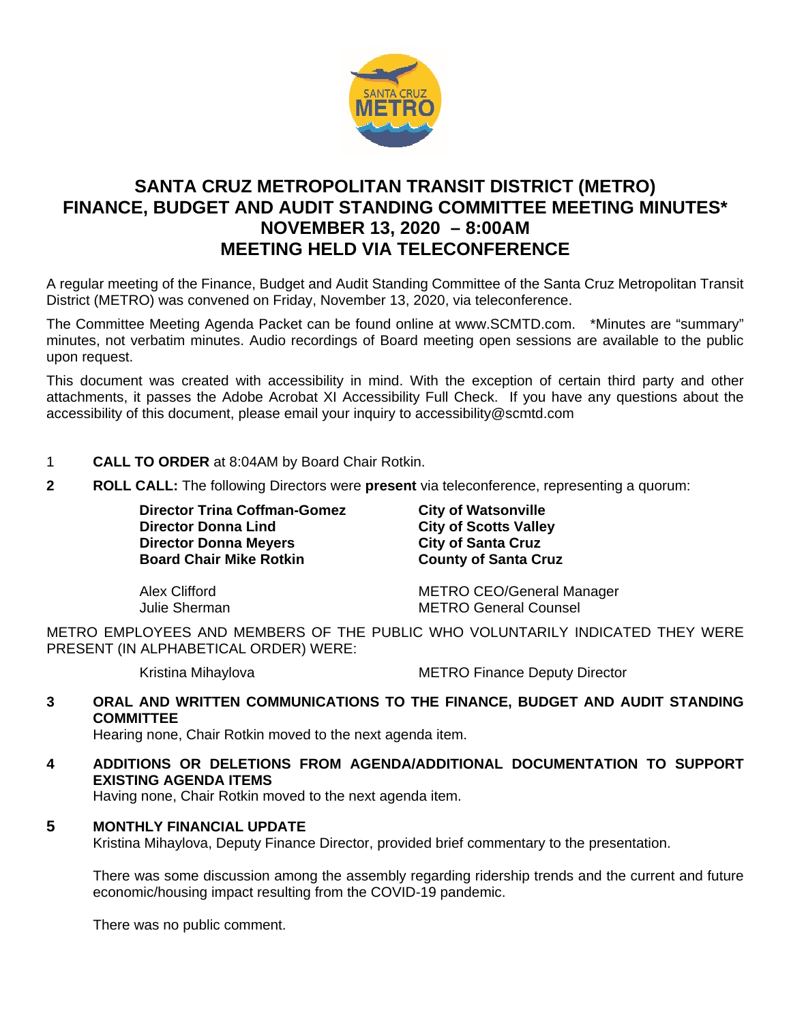

# **SANTA CRUZ METROPOLITAN TRANSIT DISTRICT (METRO) FINANCE, BUDGET AND AUDIT STANDING COMMITTEE MEETING MINUTES\* NOVEMBER 13, 2020 – 8:00AM MEETING HELD VIA TELECONFERENCE**

A regular meeting of the Finance, Budget and Audit Standing Committee of the Santa Cruz Metropolitan Transit District (METRO) was convened on Friday, November 13, 2020, via teleconference.

The Committee Meeting Agenda Packet can be found online at www.SCMTD.com. \*Minutes are "summary" minutes, not verbatim minutes. Audio recordings of Board meeting open sessions are available to the public upon request.

This document was created with accessibility in mind. With the exception of certain third party and other attachments, it passes the Adobe Acrobat XI Accessibility Full Check. If you have any questions about the accessibility of this document, please email your inquiry to accessibility@scmtd.com

- 1 **CALL TO ORDER** at 8:04AM by Board Chair Rotkin.
- **2 ROLL CALL:** The following Directors were **present** via teleconference, representing a quorum:

**Director Trina Coffman-Gomez City of Watsonville Director Donna Lind City of Scotts Valley<br>
Director Donna Mevers<br>
City of Santa Cruz<br>
City of Santa Cruz Director Donna Meyers City of Santa Cruz Board Chair Mike Rotkin**<br> **County of Santa Cruz County Conta Cruz Board Chair Mike Rotkin** 

Alex Clifford METRO CEO/General Manager Julie Sherman METRO General Counsel

METRO EMPLOYEES AND MEMBERS OF THE PUBLIC WHO VOLUNTARILY INDICATED THEY WERE PRESENT (IN ALPHABETICAL ORDER) WERE:

Kristina Mihaylova **METRO Finance Deputy Director** 

# **3 ORAL AND WRITTEN COMMUNICATIONS TO THE FINANCE, BUDGET AND AUDIT STANDING COMMITTEE**

Hearing none, Chair Rotkin moved to the next agenda item.

**4 ADDITIONS OR DELETIONS FROM AGENDA/ADDITIONAL DOCUMENTATION TO SUPPORT EXISTING AGENDA ITEMS** 

Having none, Chair Rotkin moved to the next agenda item.

#### **5 MONTHLY FINANCIAL UPDATE**

Kristina Mihaylova, Deputy Finance Director, provided brief commentary to the presentation.

There was some discussion among the assembly regarding ridership trends and the current and future economic/housing impact resulting from the COVID-19 pandemic.

There was no public comment.